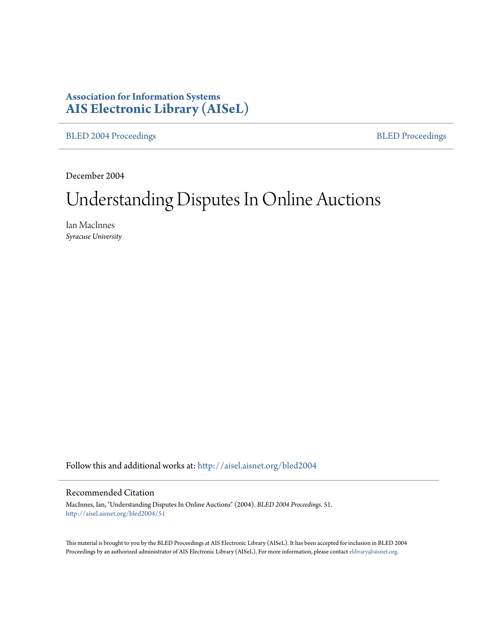# **Association for Information Systems [AIS Electronic Library \(AISeL\)](http://aisel.aisnet.org?utm_source=aisel.aisnet.org%2Fbled2004%2F51&utm_medium=PDF&utm_campaign=PDFCoverPages)**

[BLED 2004 Proceedings](http://aisel.aisnet.org/bled2004?utm_source=aisel.aisnet.org%2Fbled2004%2F51&utm_medium=PDF&utm_campaign=PDFCoverPages) **[BLED Proceedings](http://aisel.aisnet.org/bled?utm_source=aisel.aisnet.org%2Fbled2004%2F51&utm_medium=PDF&utm_campaign=PDFCoverPages)** 

December 2004

# Understanding Disputes In Online Auctions

Ian MacInnes *Syracuse University*

Follow this and additional works at: [http://aisel.aisnet.org/bled2004](http://aisel.aisnet.org/bled2004?utm_source=aisel.aisnet.org%2Fbled2004%2F51&utm_medium=PDF&utm_campaign=PDFCoverPages)

#### Recommended Citation

MacInnes, Ian, "Understanding Disputes In Online Auctions" (2004). *BLED 2004 Proceedings*. 51. [http://aisel.aisnet.org/bled2004/51](http://aisel.aisnet.org/bled2004/51?utm_source=aisel.aisnet.org%2Fbled2004%2F51&utm_medium=PDF&utm_campaign=PDFCoverPages)

This material is brought to you by the BLED Proceedings at AIS Electronic Library (AISeL). It has been accepted for inclusion in BLED 2004 Proceedings by an authorized administrator of AIS Electronic Library (AISeL). For more information, please contact [elibrary@aisnet.org](mailto:elibrary@aisnet.org%3E).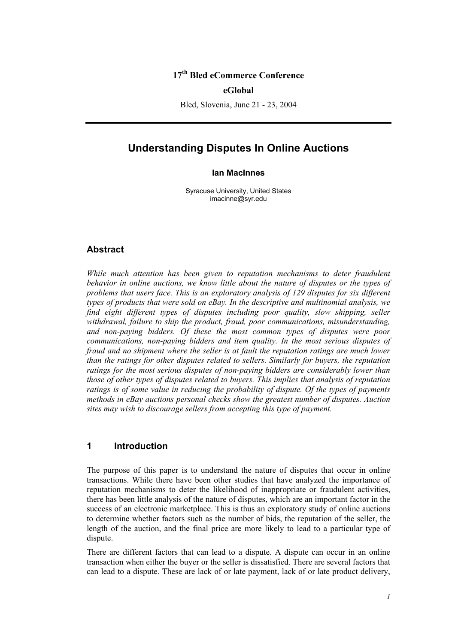## **17th Bled eCommerce Conference**

#### **eGlobal**

Bled, Slovenia, June 21 - 23, 2004

## **Understanding Disputes In Online Auctions**

#### **Ian MacInnes**

Syracuse University, United States imacinne@syr.edu

#### **Abstract**

*While much attention has been given to reputation mechanisms to deter fraudulent behavior in online auctions, we know little about the nature of disputes or the types of problems that users face. This is an exploratory analysis of 129 disputes for six different types of products that were sold on eBay. In the descriptive and multinomial analysis, we*  find eight different types of disputes including poor quality, slow shipping, seller *withdrawal, failure to ship the product, fraud, poor communications, misunderstanding, and non-paying bidders. Of these the most common types of disputes were poor communications, non-paying bidders and item quality. In the most serious disputes of fraud and no shipment where the seller is at fault the reputation ratings are much lower than the ratings for other disputes related to sellers. Similarly for buyers, the reputation ratings for the most serious disputes of non-paying bidders are considerably lower than those of other types of disputes related to buyers. This implies that analysis of reputation ratings is of some value in reducing the probability of dispute. Of the types of payments methods in eBay auctions personal checks show the greatest number of disputes. Auction sites may wish to discourage sellers from accepting this type of payment.* 

## **1 Introduction**

The purpose of this paper is to understand the nature of disputes that occur in online transactions. While there have been other studies that have analyzed the importance of reputation mechanisms to deter the likelihood of inappropriate or fraudulent activities, there has been little analysis of the nature of disputes, which are an important factor in the success of an electronic marketplace. This is thus an exploratory study of online auctions to determine whether factors such as the number of bids, the reputation of the seller, the length of the auction, and the final price are more likely to lead to a particular type of dispute.

There are different factors that can lead to a dispute. A dispute can occur in an online transaction when either the buyer or the seller is dissatisfied. There are several factors that can lead to a dispute. These are lack of or late payment, lack of or late product delivery,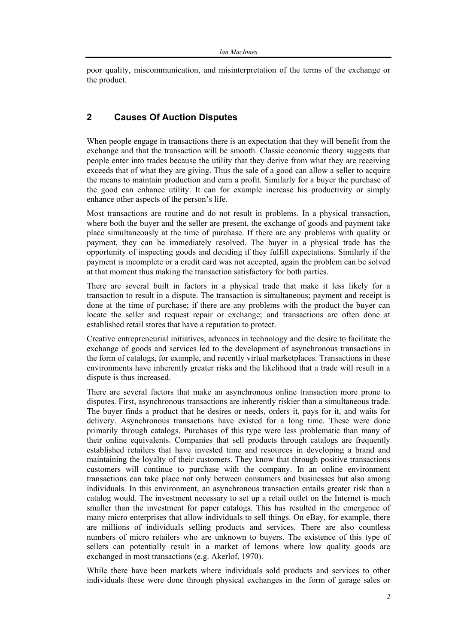poor quality, miscommunication, and misinterpretation of the terms of the exchange or the product.

## **2 Causes Of Auction Disputes**

When people engage in transactions there is an expectation that they will benefit from the exchange and that the transaction will be smooth. Classic economic theory suggests that people enter into trades because the utility that they derive from what they are receiving exceeds that of what they are giving. Thus the sale of a good can allow a seller to acquire the means to maintain production and earn a profit. Similarly for a buyer the purchase of the good can enhance utility. It can for example increase his productivity or simply enhance other aspects of the person's life.

Most transactions are routine and do not result in problems. In a physical transaction, where both the buyer and the seller are present, the exchange of goods and payment take place simultaneously at the time of purchase. If there are any problems with quality or payment, they can be immediately resolved. The buyer in a physical trade has the opportunity of inspecting goods and deciding if they fulfill expectations. Similarly if the payment is incomplete or a credit card was not accepted, again the problem can be solved at that moment thus making the transaction satisfactory for both parties.

There are several built in factors in a physical trade that make it less likely for a transaction to result in a dispute. The transaction is simultaneous; payment and receipt is done at the time of purchase; if there are any problems with the product the buyer can locate the seller and request repair or exchange; and transactions are often done at established retail stores that have a reputation to protect.

Creative entrepreneurial initiatives, advances in technology and the desire to facilitate the exchange of goods and services led to the development of asynchronous transactions in the form of catalogs, for example, and recently virtual marketplaces. Transactions in these environments have inherently greater risks and the likelihood that a trade will result in a dispute is thus increased.

There are several factors that make an asynchronous online transaction more prone to disputes. First, asynchronous transactions are inherently riskier than a simultaneous trade. The buyer finds a product that he desires or needs, orders it, pays for it, and waits for delivery. Asynchronous transactions have existed for a long time. These were done primarily through catalogs. Purchases of this type were less problematic than many of their online equivalents. Companies that sell products through catalogs are frequently established retailers that have invested time and resources in developing a brand and maintaining the loyalty of their customers. They know that through positive transactions customers will continue to purchase with the company. In an online environment transactions can take place not only between consumers and businesses but also among individuals. In this environment, an asynchronous transaction entails greater risk than a catalog would. The investment necessary to set up a retail outlet on the Internet is much smaller than the investment for paper catalogs. This has resulted in the emergence of many micro enterprises that allow individuals to sell things. On eBay, for example, there are millions of individuals selling products and services. There are also countless numbers of micro retailers who are unknown to buyers. The existence of this type of sellers can potentially result in a market of lemons where low quality goods are exchanged in most transactions (e.g. Akerlof, 1970).

While there have been markets where individuals sold products and services to other individuals these were done through physical exchanges in the form of garage sales or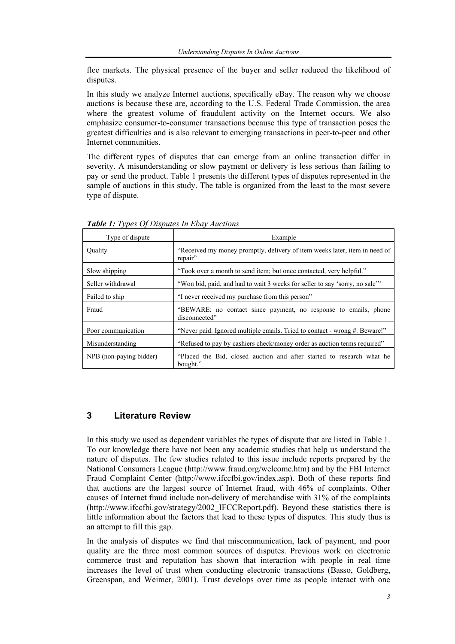flee markets. The physical presence of the buyer and seller reduced the likelihood of disputes.

In this study we analyze Internet auctions, specifically eBay. The reason why we choose auctions is because these are, according to the U.S. Federal Trade Commission, the area where the greatest volume of fraudulent activity on the Internet occurs. We also emphasize consumer-to-consumer transactions because this type of transaction poses the greatest difficulties and is also relevant to emerging transactions in peer-to-peer and other Internet communities.

The different types of disputes that can emerge from an online transaction differ in severity. A misunderstanding or slow payment or delivery is less serious than failing to pay or send the product. Table 1 presents the different types of disputes represented in the sample of auctions in this study. The table is organized from the least to the most severe type of dispute.

| Type of dispute         | Example                                                                               |
|-------------------------|---------------------------------------------------------------------------------------|
| Ouality                 | "Received my money promptly, delivery of item weeks later, item in need of<br>repair" |
| Slow shipping           | "Took over a month to send item; but once contacted, very helpful."                   |
| Seller withdrawal       | "Won bid, paid, and had to wait 3 weeks for seller to say 'sorry, no sale"            |
| Failed to ship          | "I never received my purchase from this person"                                       |
| Fraud                   | "BEWARE: no contact since payment, no response to emails, phone<br>disconnected"      |
| Poor communication      | "Never paid. Ignored multiple emails. Tried to contact - wrong #. Beware!"            |
| Misunderstanding        | "Refused to pay by cashiers check/money order as auction terms required"              |
| NPB (non-paying bidder) | "Placed the Bid, closed auction and after started to research what he<br>bought."     |

*Table 1: Types Of Disputes In Ebay Auctions* 

## **3 Literature Review**

In this study we used as dependent variables the types of dispute that are listed in Table 1. To our knowledge there have not been any academic studies that help us understand the nature of disputes. The few studies related to this issue include reports prepared by the National Consumers League (http://www.fraud.org/welcome.htm) and by the FBI Internet Fraud Complaint Center (http://www.ifccfbi.gov/index.asp). Both of these reports find that auctions are the largest source of Internet fraud, with 46% of complaints. Other causes of Internet fraud include non-delivery of merchandise with 31% of the complaints (http://www.ifccfbi.gov/strategy/2002\_IFCCReport.pdf). Beyond these statistics there is little information about the factors that lead to these types of disputes. This study thus is an attempt to fill this gap.

In the analysis of disputes we find that miscommunication, lack of payment, and poor quality are the three most common sources of disputes. Previous work on electronic commerce trust and reputation has shown that interaction with people in real time increases the level of trust when conducting electronic transactions (Basso, Goldberg, Greenspan, and Weimer, 2001). Trust develops over time as people interact with one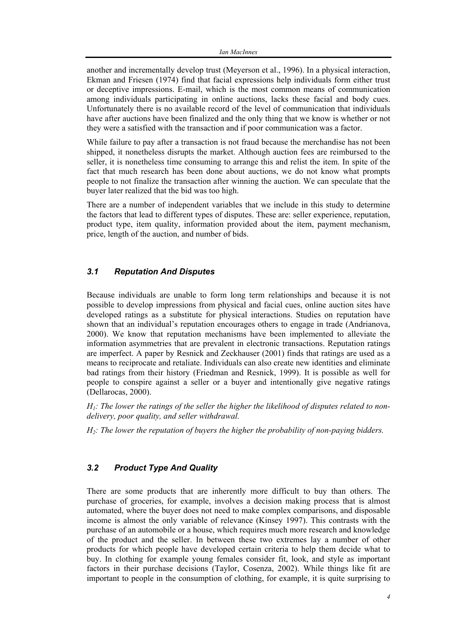another and incrementally develop trust (Meyerson et al., 1996). In a physical interaction, Ekman and Friesen (1974) find that facial expressions help individuals form either trust or deceptive impressions. E-mail, which is the most common means of communication among individuals participating in online auctions, lacks these facial and body cues. Unfortunately there is no available record of the level of communication that individuals have after auctions have been finalized and the only thing that we know is whether or not they were a satisfied with the transaction and if poor communication was a factor.

While failure to pay after a transaction is not fraud because the merchandise has not been shipped, it nonetheless disrupts the market. Although auction fees are reimbursed to the seller, it is nonetheless time consuming to arrange this and relist the item. In spite of the fact that much research has been done about auctions, we do not know what prompts people to not finalize the transaction after winning the auction. We can speculate that the buyer later realized that the bid was too high.

There are a number of independent variables that we include in this study to determine the factors that lead to different types of disputes. These are: seller experience, reputation, product type, item quality, information provided about the item, payment mechanism, price, length of the auction, and number of bids.

#### *3.1 Reputation And Disputes*

Because individuals are unable to form long term relationships and because it is not possible to develop impressions from physical and facial cues, online auction sites have developed ratings as a substitute for physical interactions. Studies on reputation have shown that an individual's reputation encourages others to engage in trade (Andrianova, 2000). We know that reputation mechanisms have been implemented to alleviate the information asymmetries that are prevalent in electronic transactions. Reputation ratings are imperfect. A paper by Resnick and Zeckhauser (2001) finds that ratings are used as a means to reciprocate and retaliate. Individuals can also create new identities and eliminate bad ratings from their history (Friedman and Resnick, 1999). It is possible as well for people to conspire against a seller or a buyer and intentionally give negative ratings (Dellarocas, 2000).

*H1: The lower the ratings of the seller the higher the likelihood of disputes related to nondelivery, poor quality, and seller withdrawal.* 

*H2: The lower the reputation of buyers the higher the probability of non-paying bidders.* 

## *3.2 Product Type And Quality*

There are some products that are inherently more difficult to buy than others. The purchase of groceries, for example, involves a decision making process that is almost automated, where the buyer does not need to make complex comparisons, and disposable income is almost the only variable of relevance (Kinsey 1997). This contrasts with the purchase of an automobile or a house, which requires much more research and knowledge of the product and the seller. In between these two extremes lay a number of other products for which people have developed certain criteria to help them decide what to buy. In clothing for example young females consider fit, look, and style as important factors in their purchase decisions (Taylor, Cosenza, 2002). While things like fit are important to people in the consumption of clothing, for example, it is quite surprising to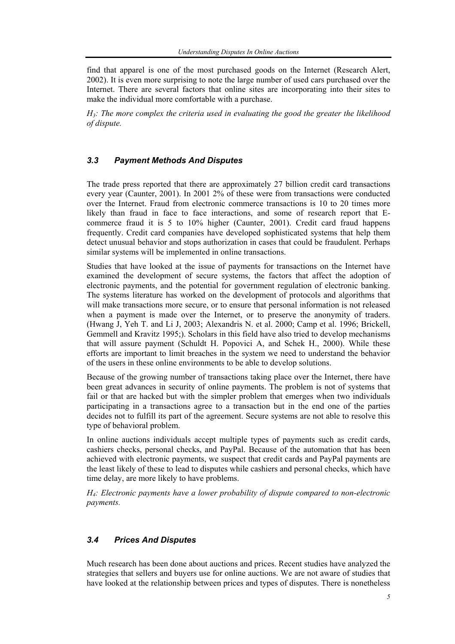find that apparel is one of the most purchased goods on the Internet (Research Alert, 2002). It is even more surprising to note the large number of used cars purchased over the Internet. There are several factors that online sites are incorporating into their sites to make the individual more comfortable with a purchase.

*H3: The more complex the criteria used in evaluating the good the greater the likelihood of dispute.* 

#### *3.3 Payment Methods And Disputes*

The trade press reported that there are approximately 27 billion credit card transactions every year (Caunter, 2001). In 2001 2% of these were from transactions were conducted over the Internet. Fraud from electronic commerce transactions is 10 to 20 times more likely than fraud in face to face interactions, and some of research report that Ecommerce fraud it is 5 to 10% higher (Caunter, 2001). Credit card fraud happens frequently. Credit card companies have developed sophisticated systems that help them detect unusual behavior and stops authorization in cases that could be fraudulent. Perhaps similar systems will be implemented in online transactions.

Studies that have looked at the issue of payments for transactions on the Internet have examined the development of secure systems, the factors that affect the adoption of electronic payments, and the potential for government regulation of electronic banking. The systems literature has worked on the development of protocols and algorithms that will make transactions more secure, or to ensure that personal information is not released when a payment is made over the Internet, or to preserve the anonymity of traders. (Hwang J, Yeh T. and Li J, 2003; Alexandris N. et al. 2000; Camp et al. 1996; Brickell, Gemmell and Kravitz 1995;). Scholars in this field have also tried to develop mechanisms that will assure payment (Schuldt H. Popovici A, and Schek H., 2000). While these efforts are important to limit breaches in the system we need to understand the behavior of the users in these online environments to be able to develop solutions.

Because of the growing number of transactions taking place over the Internet, there have been great advances in security of online payments. The problem is not of systems that fail or that are hacked but with the simpler problem that emerges when two individuals participating in a transactions agree to a transaction but in the end one of the parties decides not to fulfill its part of the agreement. Secure systems are not able to resolve this type of behavioral problem.

In online auctions individuals accept multiple types of payments such as credit cards, cashiers checks, personal checks, and PayPal. Because of the automation that has been achieved with electronic payments, we suspect that credit cards and PayPal payments are the least likely of these to lead to disputes while cashiers and personal checks, which have time delay, are more likely to have problems.

*H4: Electronic payments have a lower probability of dispute compared to non-electronic payments.* 

## *3.4 Prices And Disputes*

Much research has been done about auctions and prices. Recent studies have analyzed the strategies that sellers and buyers use for online auctions. We are not aware of studies that have looked at the relationship between prices and types of disputes. There is nonetheless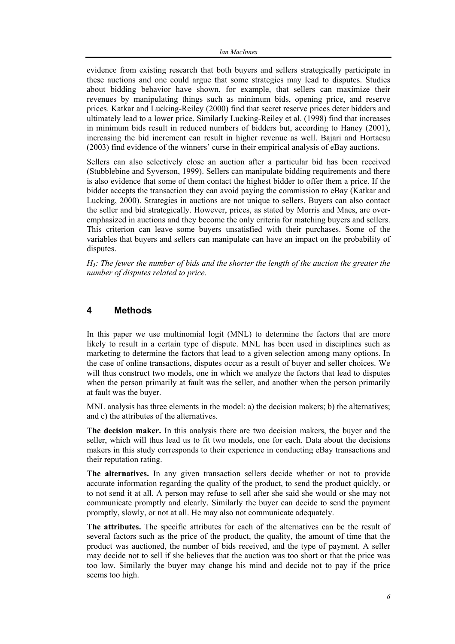evidence from existing research that both buyers and sellers strategically participate in these auctions and one could argue that some strategies may lead to disputes. Studies about bidding behavior have shown, for example, that sellers can maximize their revenues by manipulating things such as minimum bids, opening price, and reserve prices. Katkar and Lucking-Reiley (2000) find that secret reserve prices deter bidders and ultimately lead to a lower price. Similarly Lucking-Reiley et al. (1998) find that increases in minimum bids result in reduced numbers of bidders but, according to Haney (2001), increasing the bid increment can result in higher revenue as well. Bajari and Hortacsu (2003) find evidence of the winners' curse in their empirical analysis of eBay auctions.

Sellers can also selectively close an auction after a particular bid has been received (Stubblebine and Syverson, 1999). Sellers can manipulate bidding requirements and there is also evidence that some of them contact the highest bidder to offer them a price. If the bidder accepts the transaction they can avoid paying the commission to eBay (Katkar and Lucking, 2000). Strategies in auctions are not unique to sellers. Buyers can also contact the seller and bid strategically. However, prices, as stated by Morris and Maes, are overemphasized in auctions and they become the only criteria for matching buyers and sellers. This criterion can leave some buyers unsatisfied with their purchases. Some of the variables that buyers and sellers can manipulate can have an impact on the probability of disputes.

*H5: The fewer the number of bids and the shorter the length of the auction the greater the number of disputes related to price.* 

#### **4 Methods**

In this paper we use multinomial logit (MNL) to determine the factors that are more likely to result in a certain type of dispute. MNL has been used in disciplines such as marketing to determine the factors that lead to a given selection among many options. In the case of online transactions, disputes occur as a result of buyer and seller choices. We will thus construct two models, one in which we analyze the factors that lead to disputes when the person primarily at fault was the seller, and another when the person primarily at fault was the buyer.

MNL analysis has three elements in the model: a) the decision makers; b) the alternatives; and c) the attributes of the alternatives.

**The decision maker.** In this analysis there are two decision makers, the buyer and the seller, which will thus lead us to fit two models, one for each. Data about the decisions makers in this study corresponds to their experience in conducting eBay transactions and their reputation rating.

**The alternatives.** In any given transaction sellers decide whether or not to provide accurate information regarding the quality of the product, to send the product quickly, or to not send it at all. A person may refuse to sell after she said she would or she may not communicate promptly and clearly. Similarly the buyer can decide to send the payment promptly, slowly, or not at all. He may also not communicate adequately.

**The attributes.** The specific attributes for each of the alternatives can be the result of several factors such as the price of the product, the quality, the amount of time that the product was auctioned, the number of bids received, and the type of payment. A seller may decide not to sell if she believes that the auction was too short or that the price was too low. Similarly the buyer may change his mind and decide not to pay if the price seems too high.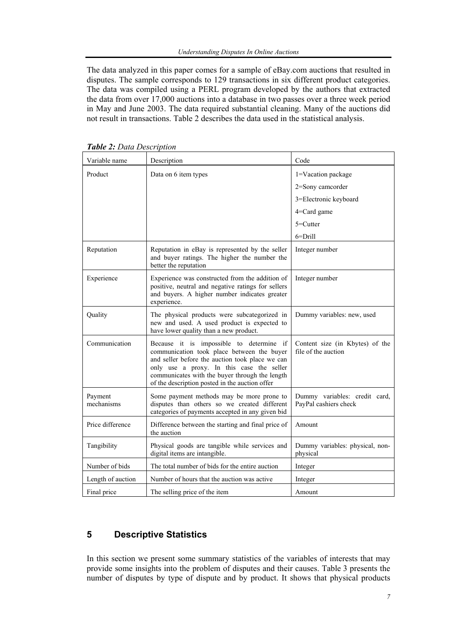The data analyzed in this paper comes for a sample of eBay.com auctions that resulted in disputes. The sample corresponds to 129 transactions in six different product categories. The data was compiled using a PERL program developed by the authors that extracted the data from over 17,000 auctions into a database in two passes over a three week period in May and June 2003. The data required substantial cleaning. Many of the auctions did not result in transactions. Table 2 describes the data used in the statistical analysis.

| Variable name         | Description                                                                                                                                                                                                                                                                                | Code                                                   |
|-----------------------|--------------------------------------------------------------------------------------------------------------------------------------------------------------------------------------------------------------------------------------------------------------------------------------------|--------------------------------------------------------|
| Product               | Data on 6 item types                                                                                                                                                                                                                                                                       | 1=Vacation package                                     |
|                       |                                                                                                                                                                                                                                                                                            | 2=Sony camcorder                                       |
|                       |                                                                                                                                                                                                                                                                                            | 3=Electronic keyboard                                  |
|                       |                                                                                                                                                                                                                                                                                            | 4=Card game                                            |
|                       |                                                                                                                                                                                                                                                                                            | $5 =$ Cutter                                           |
|                       |                                                                                                                                                                                                                                                                                            | $6 = Drill$                                            |
| Reputation            | Reputation in eBay is represented by the seller<br>and buyer ratings. The higher the number the<br>better the reputation                                                                                                                                                                   | Integer number                                         |
| Experience            | Experience was constructed from the addition of<br>positive, neutral and negative ratings for sellers<br>and buyers. A higher number indicates greater<br>experience.                                                                                                                      | Integer number                                         |
| Quality               | The physical products were subcategorized in<br>new and used. A used product is expected to<br>have lower quality than a new product.                                                                                                                                                      | Dummy variables: new, used                             |
| Communication         | Because it is impossible to determine if<br>communication took place between the buyer<br>and seller before the auction took place we can<br>only use a proxy. In this case the seller<br>communicates with the buyer through the length<br>of the description posted in the auction offer | Content size (in Kbytes) of the<br>file of the auction |
| Payment<br>mechanisms | Some payment methods may be more prone to<br>disputes than others so we created different<br>categories of payments accepted in any given bid                                                                                                                                              | Dummy variables: credit card,<br>PayPal cashiers check |
| Price difference      | Difference between the starting and final price of<br>the auction                                                                                                                                                                                                                          | Amount                                                 |
| Tangibility           | Physical goods are tangible while services and<br>digital items are intangible.                                                                                                                                                                                                            | Dummy variables: physical, non-<br>physical            |
| Number of bids        | The total number of bids for the entire auction                                                                                                                                                                                                                                            | Integer                                                |
| Length of auction     | Number of hours that the auction was active                                                                                                                                                                                                                                                | Integer                                                |
| Final price           | The selling price of the item                                                                                                                                                                                                                                                              | Amount                                                 |

*Table 2: Data Description*

#### **5 Descriptive Statistics**

In this section we present some summary statistics of the variables of interests that may provide some insights into the problem of disputes and their causes. Table 3 presents the number of disputes by type of dispute and by product. It shows that physical products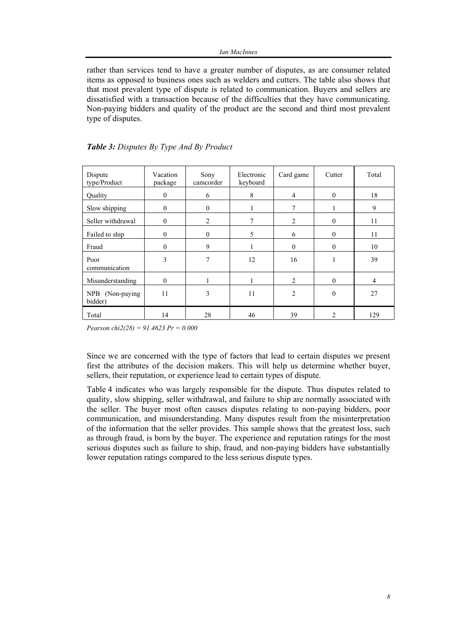rather than services tend to have a greater number of disputes, as are consumer related items as opposed to business ones such as welders and cutters. The table also shows that that most prevalent type of dispute is related to communication. Buyers and sellers are dissatisfied with a transaction because of the difficulties that they have communicating. Non-paying bidders and quality of the product are the second and third most prevalent type of disputes.

| Dispute<br>type/Product    | Vacation<br>package | Sony<br>camcorder | Electronic<br>keyboard | Card game      | Cutter         | Total          |
|----------------------------|---------------------|-------------------|------------------------|----------------|----------------|----------------|
| Quality                    | $\theta$            | 6                 | 8                      | $\overline{4}$ | $\mathbf{0}$   | 18             |
| Slow shipping              | $\theta$            | $\mathbf{0}$      | 1                      | $\tau$         |                | 9              |
| Seller withdrawal          | $\theta$            | 2                 | $\overline{7}$         | $\overline{2}$ | $\mathbf{0}$   | 11             |
| Failed to ship             | $\theta$            | $\mathbf{0}$      | 5                      | 6              | $\mathbf{0}$   | 11             |
| Fraud                      | $\theta$            | 9                 |                        | $\theta$       | $\mathbf{0}$   | 10             |
| Poor<br>communication      | 3                   | 7                 | 12                     | 16             |                | 39             |
| Misunderstanding           | $\Omega$            |                   |                        | $\overline{2}$ | $\theta$       | $\overline{4}$ |
| NPB (Non-paying<br>bidder) | 11                  | 3                 | 11                     | $\overline{2}$ | $\mathbf{0}$   | 27             |
| Total                      | 14                  | 28                | 46                     | 39             | $\overline{2}$ | 129            |

|  | Table 3: Disputes By Type And By Product |  |  |  |  |  |
|--|------------------------------------------|--|--|--|--|--|
|--|------------------------------------------|--|--|--|--|--|

*Pearson chi2(28) = 91.4623 Pr = 0.000* 

Since we are concerned with the type of factors that lead to certain disputes we present first the attributes of the decision makers. This will help us determine whether buyer, sellers, their reputation, or experience lead to certain types of dispute.

Table 4 indicates who was largely responsible for the dispute. Thus disputes related to quality, slow shipping, seller withdrawal, and failure to ship are normally associated with the seller. The buyer most often causes disputes relating to non-paying bidders, poor communication, and misunderstanding. Many disputes result from the misinterpretation of the information that the seller provides. This sample shows that the greatest loss, such as through fraud, is born by the buyer. The experience and reputation ratings for the most serious disputes such as failure to ship, fraud, and non-paying bidders have substantially lower reputation ratings compared to the less serious dispute types.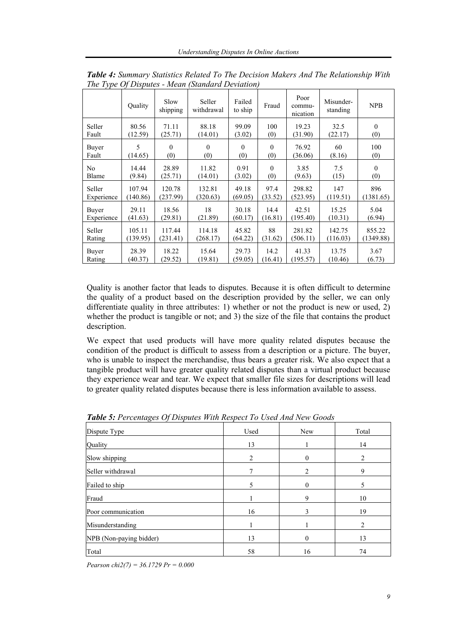|                | Ouality  | Slow<br>shipping | Seller<br>withdrawal | Failed<br>to ship | Fraud    | Poor<br>commu-<br>nication | Misunder-<br>standing | <b>NPB</b>   |
|----------------|----------|------------------|----------------------|-------------------|----------|----------------------------|-----------------------|--------------|
| Seller         | 80.56    | 71.11            | 88.18                | 99.09             | 100      | 19.23                      | 32.5                  | $\mathbf{0}$ |
| Fault          | (12.59)  | (25.71)          | (14.01)              | (3.02)            | (0)      | (31.90)                    | (22.17)               | (0)          |
| Buyer          | 5        | $\Omega$         | $\theta$             | $\theta$          | $\Omega$ | 76.92                      | 60                    | 100          |
| Fault          | (14.65)  | (0)              | (0)                  | (0)               | (0)      | (36.06)                    | (8.16)                | (0)          |
| N <sub>0</sub> | 14.44    | 28.89            | 11.82                | 0.91              | $\Omega$ | 3.85                       | 7.5                   | $\mathbf{0}$ |
| Blame          | (9.84)   | (25.71)          | (14.01)              | (3.02)            | (0)      | (9.63)                     | (15)                  | (0)          |
| Seller         | 107.94   | 120.78           | 132.81               | 49.18             | 97.4     | 298.82                     | 147                   | 896          |
| Experience     | (140.86) | (237.99)         | (320.63)             | (69.05)           | (33.52)  | (523.95)                   | (119.51)              | (1381.65)    |
| Buyer          | 29.11    | 18.56            | 18                   | 30.18             | 14.4     | 42.51                      | 15.25                 | 5.04         |
| Experience     | (41.63)  | (29.81)          | (21.89)              | (60.17)           | (16.81)  | (195.40)                   | (10.31)               | (6.94)       |
| Seller         | 105.11   | 117.44           | 114.18               | 45.82             | 88       | 281.82                     | 142.75                | 855.22       |
| Rating         | (139.95) | (231.41)         | (268.17)             | (64.22)           | (31.62)  | (506.11)                   | (116.03)              | (1349.88)    |
| Buyer          | 28.39    | 18.22            | 15.64                | 29.73             | 14.2     | 41.33                      | 13.75                 | 3.67         |
| Rating         | (40.37)  | (29.52)          | (19.81)              | (59.05)           | (16.41)  | (195.57)                   | (10.46)               | (6.73)       |

*Table 4: Summary Statistics Related To The Decision Makers And The Relationship With The Type Of Disputes - Mean (Standard Deviation)*

Quality is another factor that leads to disputes. Because it is often difficult to determine the quality of a product based on the description provided by the seller, we can only differentiate quality in three attributes: 1) whether or not the product is new or used, 2) whether the product is tangible or not; and 3) the size of the file that contains the product description.

We expect that used products will have more quality related disputes because the condition of the product is difficult to assess from a description or a picture. The buyer, who is unable to inspect the merchandise, thus bears a greater risk. We also expect that a tangible product will have greater quality related disputes than a virtual product because they experience wear and tear. We expect that smaller file sizes for descriptions will lead to greater quality related disputes because there is less information available to assess.

| Dispute Type            | Used           | New | Total          |
|-------------------------|----------------|-----|----------------|
| Quality                 | 13             |     | 14             |
| Slow shipping           | $\overline{c}$ | 0   | $\overline{c}$ |
| Seller withdrawal       |                | 2   | 9              |
| Failed to ship          | 5              | 0   |                |
| Fraud                   |                | 9   | 10             |
| Poor communication      | 16             | 3   | 19             |
| Misunderstanding        |                |     |                |
| NPB (Non-paying bidder) | 13             | 0   | 13             |
| Total                   | 58             | 16  | 74             |

*Table 5: Percentages Of Disputes With Respect To Used And New Goods*

*Pearson chi2(7) = 36.1729 Pr = 0.000*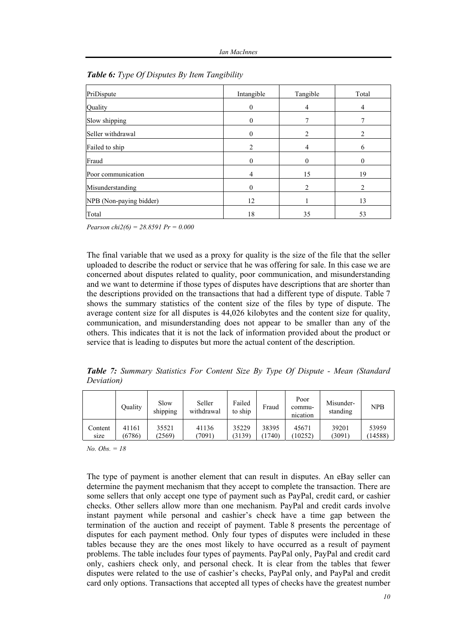| PriDispute              | Intangible     | Tangible | Total    |
|-------------------------|----------------|----------|----------|
| Quality                 | $\theta$       | 4        | 4        |
| Slow shipping           | $\theta$       | 7        |          |
| Seller withdrawal       | $\mathbf{0}$   | 2        | 2        |
| Failed to ship          | 2              | 4        | 6        |
| Fraud                   | $\theta$       | 0        | $\Omega$ |
| Poor communication      | $\overline{4}$ | 15       | 19       |
| Misunderstanding        | $\theta$       | 2        | 2        |
| NPB (Non-paying bidder) | 12             |          | 13       |
| Total                   | 18             | 35       | 53       |

|  |  | <b>Table 6:</b> Type Of Disputes By Item Tangibility |  |  |
|--|--|------------------------------------------------------|--|--|
|  |  |                                                      |  |  |

*Pearson chi2(6) = 28.8591 Pr = 0.000* 

The final variable that we used as a proxy for quality is the size of the file that the seller uploaded to describe the roduct or service that he was offering for sale. In this case we are concerned about disputes related to quality, poor communication, and misunderstanding and we want to determine if those types of disputes have descriptions that are shorter than the descriptions provided on the transactions that had a different type of dispute. Table 7 shows the summary statistics of the content size of the files by type of dispute. The average content size for all disputes is 44,026 kilobytes and the content size for quality, communication, and misunderstanding does not appear to be smaller than any of the others. This indicates that it is not the lack of information provided about the product or service that is leading to disputes but more the actual content of the description.

*Table 7: Summary Statistics For Content Size By Type Of Dispute - Mean (Standard Deviation)* 

|         | Ouality | Slow<br>shipping | Seller<br>withdrawal | Failed<br>to ship | Fraud | Poor<br>commu-<br>nication | Misunder-<br>standing | <b>NPB</b> |
|---------|---------|------------------|----------------------|-------------------|-------|----------------------------|-----------------------|------------|
| Content | 41161   | 35521            | 41136                | 35229             | 38395 | 45671                      | 39201                 | 53959      |
| size    | (6786)  | (2569)           | 7091)                | (3139)            | 1740) | (10252)                    | (3091)                | (14588)    |

*No. Obs. = 18* 

The type of payment is another element that can result in disputes. An eBay seller can determine the payment mechanism that they accept to complete the transaction. There are some sellers that only accept one type of payment such as PayPal, credit card, or cashier checks. Other sellers allow more than one mechanism. PayPal and credit cards involve instant payment while personal and cashier's check have a time gap between the termination of the auction and receipt of payment. Table 8 presents the percentage of disputes for each payment method. Only four types of disputes were included in these tables because they are the ones most likely to have occurred as a result of payment problems. The table includes four types of payments. PayPal only, PayPal and credit card only, cashiers check only, and personal check. It is clear from the tables that fewer disputes were related to the use of cashier's checks, PayPal only, and PayPal and credit card only options. Transactions that accepted all types of checks have the greatest number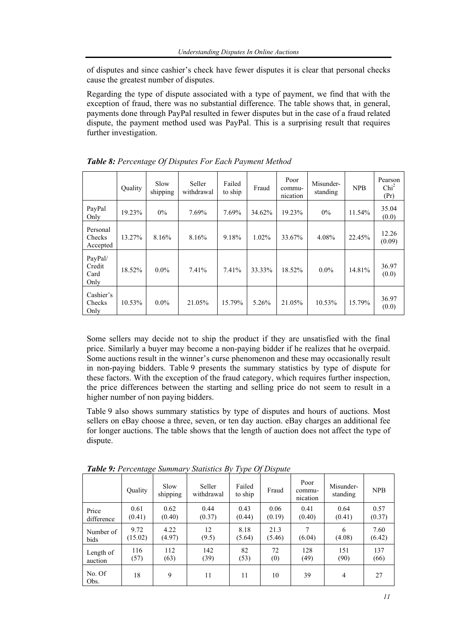of disputes and since cashier's check have fewer disputes it is clear that personal checks cause the greatest number of disputes.

Regarding the type of dispute associated with a type of payment, we find that with the exception of fraud, there was no substantial difference. The table shows that, in general, payments done through PayPal resulted in fewer disputes but in the case of a fraud related dispute, the payment method used was PayPal. This is a surprising result that requires further investigation.

|                                   | <b>Ouality</b> | Slow<br>shipping | Seller<br>withdrawal | Failed<br>to ship | Fraud    | Poor<br>commu-<br>nication | Misunder-<br>standing | <b>NPB</b> | Pearson<br>Chi <sup>2</sup><br>(Pr) |
|-----------------------------------|----------------|------------------|----------------------|-------------------|----------|----------------------------|-----------------------|------------|-------------------------------------|
| PayPal<br>Only                    | 19.23%         | $0\%$            | 7.69%                | 7.69%             | 34.62%   | 19.23%                     | 0%                    | 11.54%     | 35.04<br>(0.0)                      |
| Personal<br>Checks<br>Accepted    | 13.27%         | 8.16%            | 8.16%                | 9.18%             | $1.02\%$ | 33.67%                     | 4.08%                 | 22.45%     | 12.26<br>(0.09)                     |
| PayPal/<br>Credit<br>Card<br>Only | 18.52%         | $0.0\%$          | 7.41%                | 7.41%             | 33.33%   | 18.52%                     | $0.0\%$               | 14.81%     | 36.97<br>(0.0)                      |
| Cashier's<br>Checks<br>Only       | 10.53%         | $0.0\%$          | 21.05%               | 15.79%            | 5.26%    | 21.05%                     | 10.53%                | 15.79%     | 36.97<br>(0.0)                      |

*Table 8: Percentage Of Disputes For Each Payment Method* 

Some sellers may decide not to ship the product if they are unsatisfied with the final price. Similarly a buyer may become a non-paying bidder if he realizes that he overpaid. Some auctions result in the winner's curse phenomenon and these may occasionally result in non-paying bidders. Table 9 presents the summary statistics by type of dispute for these factors. With the exception of the fraud category, which requires further inspection, the price differences between the starting and selling price do not seem to result in a higher number of non paying bidders.

Table 9 also shows summary statistics by type of disputes and hours of auctions. Most sellers on eBay choose a three, seven, or ten day auction. eBay charges an additional fee for longer auctions. The table shows that the length of auction does not affect the type of dispute.

|                | ັ       |                  |                      | . .               |        |                            |                       |            |
|----------------|---------|------------------|----------------------|-------------------|--------|----------------------------|-----------------------|------------|
|                | Quality | Slow<br>shipping | Seller<br>withdrawal | Failed<br>to ship | Fraud  | Poor<br>commu-<br>nication | Misunder-<br>standing | <b>NPB</b> |
| Price          | 0.61    | 0.62             | 0.44                 | 0.43              | 0.06   | 0.41                       | 0.64                  | 0.57       |
| difference     | (0.41)  | (0.40)           | (0.37)               | (0.44)            | (0.19) | (0.40)                     | (0.41)                | (0.37)     |
| Number of      | 9.72    | 4.22             | 12                   | 8.18              | 21.3   | 7                          | 6                     | 7.60       |
| bids           | (15.02) | (4.97)           | (9.5)                | (5.64)            | (5.46) | (6.04)                     | (4.08)                | (6.42)     |
| Length of      | 116     | 112              | 142                  | 82                | 72     | 128                        | 151                   | 137        |
| auction        | (57)    | (63)             | (39)                 | (53)              | (0)    | (49)                       | (90)                  | (66)       |
| No. Of<br>Obs. | 18      | 9                | 11                   | 11                | 10     | 39                         | $\overline{4}$        | 27         |

*Table 9: Percentage Summary Statistics By Type Of Dispute*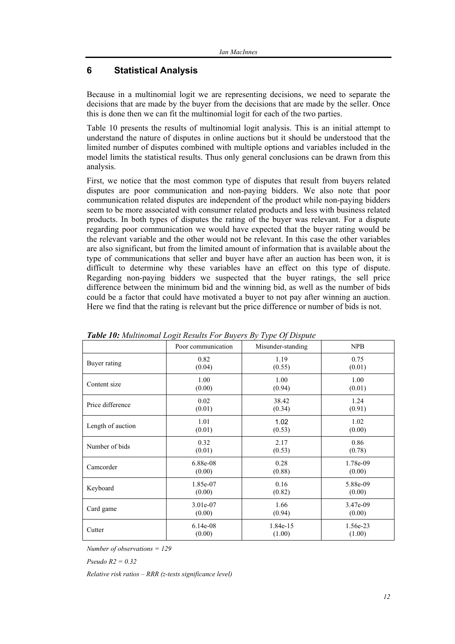## **6 Statistical Analysis**

Because in a multinomial logit we are representing decisions, we need to separate the decisions that are made by the buyer from the decisions that are made by the seller. Once this is done then we can fit the multinomial logit for each of the two parties.

Table 10 presents the results of multinomial logit analysis. This is an initial attempt to understand the nature of disputes in online auctions but it should be understood that the limited number of disputes combined with multiple options and variables included in the model limits the statistical results. Thus only general conclusions can be drawn from this analysis.

First, we notice that the most common type of disputes that result from buyers related disputes are poor communication and non-paying bidders. We also note that poor communication related disputes are independent of the product while non-paying bidders seem to be more associated with consumer related products and less with business related products. In both types of disputes the rating of the buyer was relevant. For a dispute regarding poor communication we would have expected that the buyer rating would be the relevant variable and the other would not be relevant. In this case the other variables are also significant, but from the limited amount of information that is available about the type of communications that seller and buyer have after an auction has been won, it is difficult to determine why these variables have an effect on this type of dispute. Regarding non-paying bidders we suspected that the buyer ratings, the sell price difference between the minimum bid and the winning bid, as well as the number of bids could be a factor that could have motivated a buyer to not pay after winning an auction. Here we find that the rating is relevant but the price difference or number of bids is not.

|                   | Poor communication | Misunder-standing | <b>NPB</b> |
|-------------------|--------------------|-------------------|------------|
| Buyer rating      | 0.82               | 1.19              | 0.75       |
|                   | (0.04)             | (0.55)            | (0.01)     |
| Content size      | 1.00               | 1.00              | 1.00       |
|                   | (0.00)             | (0.94)            | (0.01)     |
| Price difference  | 0.02               | 38.42             | 1.24       |
|                   | (0.01)             | (0.34)            | (0.91)     |
| Length of auction | 1.01               | 1.02              | 1.02       |
|                   | (0.01)             | (0.53)            | (0.00)     |
| Number of bids    | 0.32               | 2.17              | 0.86       |
|                   | (0.01)             | (0.53)            | (0.78)     |
| Camcorder         | 6.88e-08           | 0.28              | 1.78e-09   |
|                   | (0.00)             | (0.88)            | (0.00)     |
| Keyboard          | 1.85e-07           | 0.16              | 5.88e-09   |
|                   | (0.00)             | (0.82)            | (0.00)     |
| Card game         | 3.01e-07           | 1.66              | 3.47e-09   |
|                   | (0.00)             | (0.94)            | (0.00)     |
| Cutter            | $6.14e-08$         | 1.84e-15          | 1.56e-23   |
|                   | (0.00)             | (1.00)            | (1.00)     |

*Table 10: Multinomal Logit Results For Buyers By Type Of Dispute* 

*Number of observations = 129* 

*Pseudo R2 = 0.32* 

*Relative risk ratios – RRR (z-tests significance level)*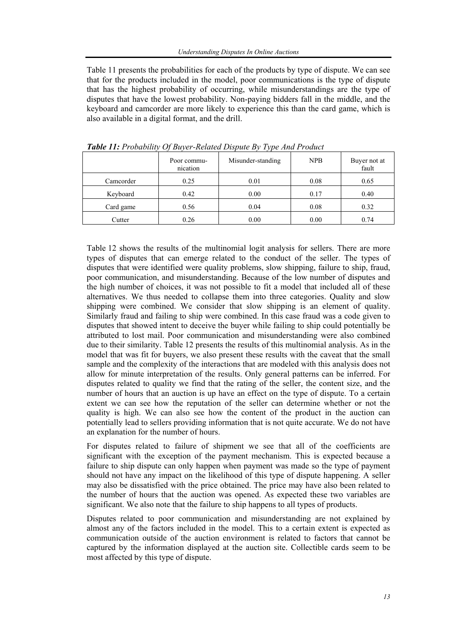Table 11 presents the probabilities for each of the products by type of dispute. We can see that for the products included in the model, poor communications is the type of dispute that has the highest probability of occurring, while misunderstandings are the type of disputes that have the lowest probability. Non-paying bidders fall in the middle, and the keyboard and camcorder are more likely to experience this than the card game, which is also available in a digital format, and the drill.

|           | Poor commu-<br>nication | Misunder-standing | <b>NPB</b> | Buyer not at<br>fault |
|-----------|-------------------------|-------------------|------------|-----------------------|
| Camcorder | 0.25                    | 0.01              | 0.08       | 0.65                  |
| Keyboard  | 0.42                    | 0.00              | 0.17       | 0.40                  |
| Card game | 0.56                    | 0.04              | 0.08       | 0.32                  |
| Cutter    | 0.26                    | 0.00              | 0.00       | 0.74                  |

*Table 11: Probability Of Buyer-Related Dispute By Type And Product* 

Table 12 shows the results of the multinomial logit analysis for sellers. There are more types of disputes that can emerge related to the conduct of the seller. The types of disputes that were identified were quality problems, slow shipping, failure to ship, fraud, poor communication, and misunderstanding. Because of the low number of disputes and the high number of choices, it was not possible to fit a model that included all of these alternatives. We thus needed to collapse them into three categories. Quality and slow shipping were combined. We consider that slow shipping is an element of quality. Similarly fraud and failing to ship were combined. In this case fraud was a code given to disputes that showed intent to deceive the buyer while failing to ship could potentially be attributed to lost mail. Poor communication and misunderstanding were also combined due to their similarity. Table 12 presents the results of this multinomial analysis. As in the model that was fit for buyers, we also present these results with the caveat that the small sample and the complexity of the interactions that are modeled with this analysis does not allow for minute interpretation of the results. Only general patterns can be inferred. For disputes related to quality we find that the rating of the seller, the content size, and the number of hours that an auction is up have an effect on the type of dispute. To a certain extent we can see how the reputation of the seller can determine whether or not the quality is high. We can also see how the content of the product in the auction can potentially lead to sellers providing information that is not quite accurate. We do not have an explanation for the number of hours.

For disputes related to failure of shipment we see that all of the coefficients are significant with the exception of the payment mechanism. This is expected because a failure to ship dispute can only happen when payment was made so the type of payment should not have any impact on the likelihood of this type of dispute happening. A seller may also be dissatisfied with the price obtained. The price may have also been related to the number of hours that the auction was opened. As expected these two variables are significant. We also note that the failure to ship happens to all types of products.

Disputes related to poor communication and misunderstanding are not explained by almost any of the factors included in the model. This to a certain extent is expected as communication outside of the auction environment is related to factors that cannot be captured by the information displayed at the auction site. Collectible cards seem to be most affected by this type of dispute.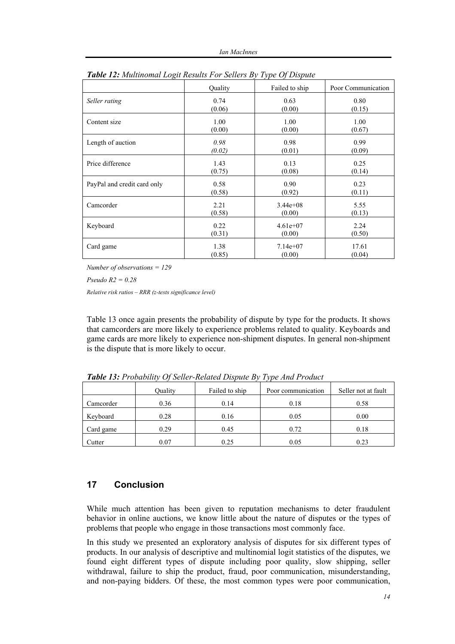| $\circ$                     |         |                |                    |
|-----------------------------|---------|----------------|--------------------|
|                             | Quality | Failed to ship | Poor Communication |
| Seller rating               | 0.74    | 0.63           | 0.80               |
|                             | (0.06)  | (0.00)         | (0.15)             |
| Content size                | 1.00    | 1.00           | 1.00               |
|                             | (0.00)  | (0.00)         | (0.67)             |
| Length of auction           | 0.98    | 0.98           | 0.99               |
|                             | (0.02)  | (0.01)         | (0.09)             |
| Price difference            | 1.43    | 0.13           | 0.25               |
|                             | (0.75)  | (0.08)         | (0.14)             |
| PayPal and credit card only | 0.58    | 0.90           | 0.23               |
|                             | (0.58)  | (0.92)         | (0.11)             |
| Camcorder                   | 2.21    | $3.44e+08$     | 5.55               |
|                             | (0.58)  | (0.00)         | (0.13)             |
| Keyboard                    | 0.22    | $4.61e+07$     | 2.24               |
|                             | (0.31)  | (0.00)         | (0.50)             |
| Card game                   | 1.38    | $7.14e+07$     | 17.61              |
|                             | (0.85)  | (0.00)         | (0.04)             |

| Table 12: Multinomal Logit Results For Sellers By Type Of Dispute |  |  |  |
|-------------------------------------------------------------------|--|--|--|
|                                                                   |  |  |  |

*Number of observations = 129* 

*Pseudo R2 = 0.28* 

*Relative risk ratios – RRR (z-tests significance level)*

Table 13 once again presents the probability of dispute by type for the products. It shows that camcorders are more likely to experience problems related to quality. Keyboards and game cards are more likely to experience non-shipment disputes. In general non-shipment is the dispute that is more likely to occur.

|           | Ouality | Failed to ship | Poor communication | Seller not at fault |
|-----------|---------|----------------|--------------------|---------------------|
| Camcorder | 0.36    | 0.14           | 0.18               | 0.58                |
| Keyboard  | 0.28    | 0.16           | 0.05               | 0.00                |
| Card game | 0.29    | 0.45           | 0.72               | 0.18                |
| Cutter    | 0.07    | 0.25           | 0.05               | 0.23                |

*Table 13: Probability Of Seller-Related Dispute By Type And Product*

## **17 Conclusion**

While much attention has been given to reputation mechanisms to deter fraudulent behavior in online auctions, we know little about the nature of disputes or the types of problems that people who engage in those transactions most commonly face.

In this study we presented an exploratory analysis of disputes for six different types of products. In our analysis of descriptive and multinomial logit statistics of the disputes, we found eight different types of dispute including poor quality, slow shipping, seller withdrawal, failure to ship the product, fraud, poor communication, misunderstanding, and non-paying bidders. Of these, the most common types were poor communication,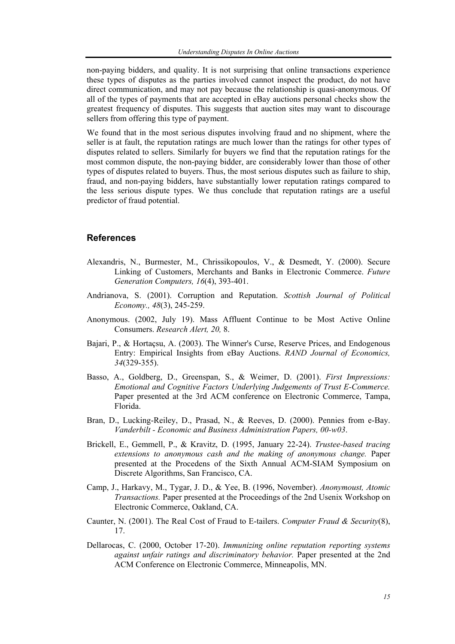non-paying bidders, and quality. It is not surprising that online transactions experience these types of disputes as the parties involved cannot inspect the product, do not have direct communication, and may not pay because the relationship is quasi-anonymous. Of all of the types of payments that are accepted in eBay auctions personal checks show the greatest frequency of disputes. This suggests that auction sites may want to discourage sellers from offering this type of payment.

We found that in the most serious disputes involving fraud and no shipment, where the seller is at fault, the reputation ratings are much lower than the ratings for other types of disputes related to sellers. Similarly for buyers we find that the reputation ratings for the most common dispute, the non-paying bidder, are considerably lower than those of other types of disputes related to buyers. Thus, the most serious disputes such as failure to ship, fraud, and non-paying bidders, have substantially lower reputation ratings compared to the less serious dispute types. We thus conclude that reputation ratings are a useful predictor of fraud potential.

#### **References**

- Alexandris, N., Burmester, M., Chrissikopoulos, V., & Desmedt, Y. (2000). Secure Linking of Customers, Merchants and Banks in Electronic Commerce. *Future Generation Computers, 16*(4), 393-401.
- Andrianova, S. (2001). Corruption and Reputation. *Scottish Journal of Political Economy., 48*(3), 245-259.
- Anonymous. (2002, July 19). Mass Affluent Continue to be Most Active Online Consumers. *Research Alert, 20,* 8.
- Bajari, P., & Hortaçsu, A. (2003). The Winner's Curse, Reserve Prices, and Endogenous Entry: Empirical Insights from eBay Auctions. *RAND Journal of Economics, 34*(329-355).
- Basso, A., Goldberg, D., Greenspan, S., & Weimer, D. (2001). *First Impressions: Emotional and Cognitive Factors Underlying Judgements of Trust E-Commerce.* Paper presented at the 3rd ACM conference on Electronic Commerce, Tampa, Florida.
- Bran, D., Lucking-Reiley, D., Prasad, N., & Reeves, D. (2000). Pennies from e-Bay. *Vanderbilt - Economic and Business Administration Papers, 00-w03*.
- Brickell, E., Gemmell, P., & Kravitz, D. (1995, January 22-24). *Trustee-based tracing extensions to anonymous cash and the making of anonymous change.* Paper presented at the Procedens of the Sixth Annual ACM-SIAM Symposium on Discrete Algorithms, San Francisco, CA.
- Camp, J., Harkavy, M., Tygar, J. D., & Yee, B. (1996, November). *Anonymoust, Atomic Transactions.* Paper presented at the Proceedings of the 2nd Usenix Workshop on Electronic Commerce, Oakland, CA.
- Caunter, N. (2001). The Real Cost of Fraud to E-tailers. *Computer Fraud & Security*(8), 17.
- Dellarocas, C. (2000, October 17-20). *Immunizing online reputation reporting systems against unfair ratings and discriminatory behavior.* Paper presented at the 2nd ACM Conference on Electronic Commerce, Minneapolis, MN.